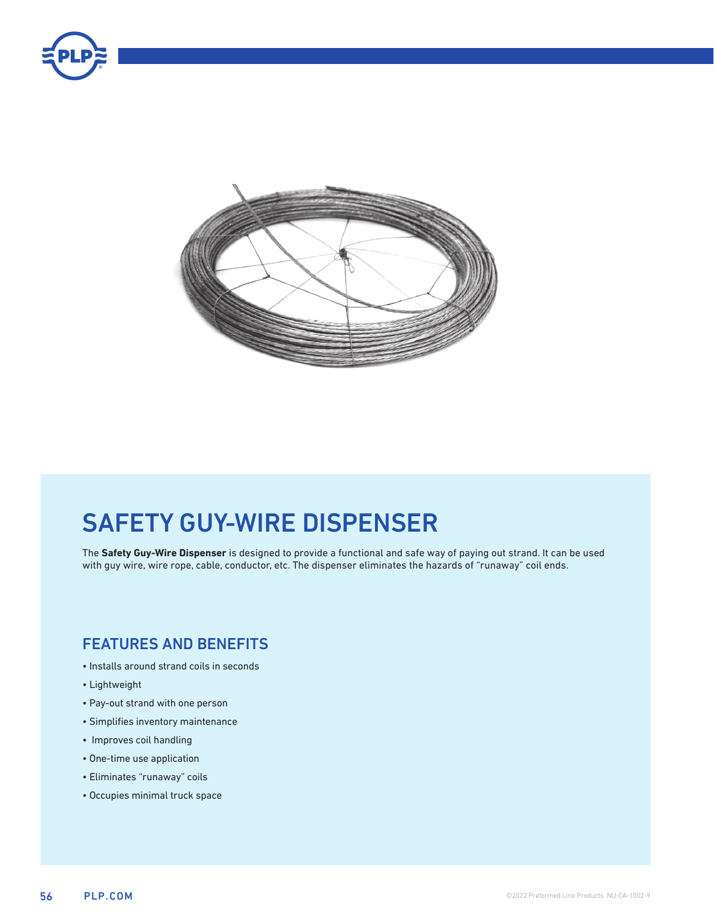



# SAFETY GUY-WIRE DISPENSER

The **Safety Guy-Wire Dispenser** is designed to provide a functional and safe way of paying out strand. It can be used with guy wire, wire rope, cable, conductor, etc. The dispenser eliminates the hazards of "runaway" coil ends.

### FEATURES AND BENEFITS

- Installs around strand coils in seconds
- Lightweight
- Pay-out strand with one person
- Simplifies inventory maintenance
- Improves coil handling
- One-time use application
- Eliminates "runaway" coils
- Occupies minimal truck space